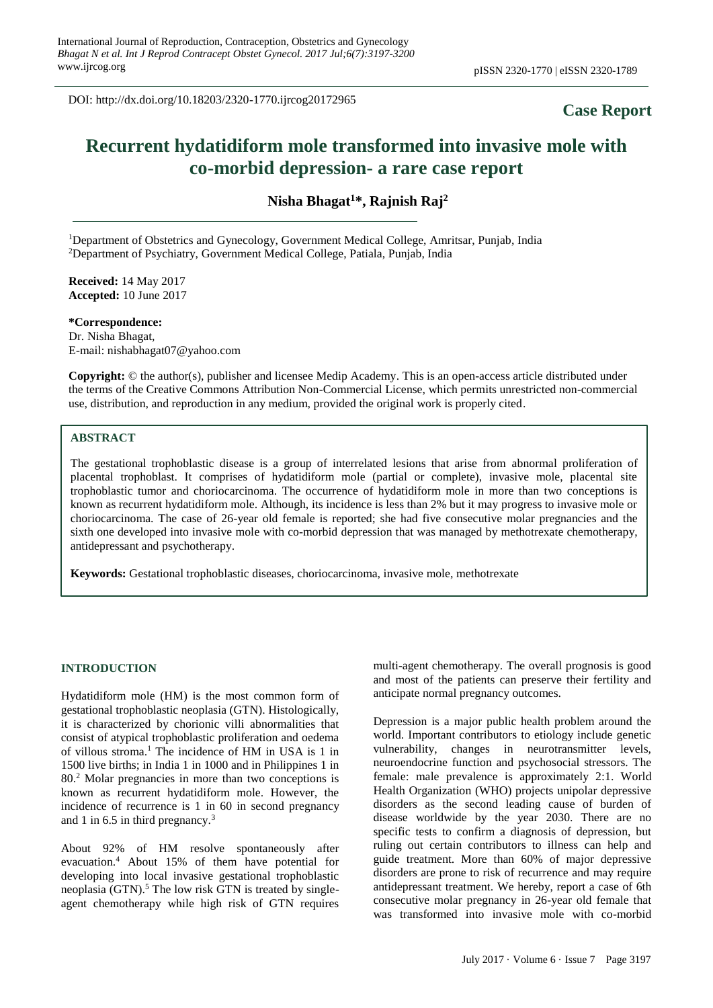DOI: http://dx.doi.org/10.18203/2320-1770.ijrcog20172965

# **Case Report**

# **Recurrent hydatidiform mole transformed into invasive mole with co-morbid depression- a rare case report**

**Nisha Bhagat<sup>1</sup>\*, Rajnish Raj<sup>2</sup>**

<sup>1</sup>Department of Obstetrics and Gynecology, Government Medical College, Amritsar, Punjab, India <sup>2</sup>Department of Psychiatry, Government Medical College, Patiala, Punjab, India

**Received:** 14 May 2017 **Accepted:** 10 June 2017

**\*Correspondence:** Dr. Nisha Bhagat, E-mail: nishabhagat07@yahoo.com

**Copyright:** © the author(s), publisher and licensee Medip Academy. This is an open-access article distributed under the terms of the Creative Commons Attribution Non-Commercial License, which permits unrestricted non-commercial use, distribution, and reproduction in any medium, provided the original work is properly cited.

#### **ABSTRACT**

The gestational trophoblastic disease is a group of interrelated lesions that arise from abnormal proliferation of placental trophoblast. It comprises of hydatidiform mole (partial or complete), invasive mole, placental site trophoblastic tumor and choriocarcinoma. The occurrence of hydatidiform mole in more than two conceptions is known as recurrent hydatidiform mole. Although, its incidence is less than 2% but it may progress to invasive mole or choriocarcinoma. The case of 26-year old female is reported; she had five consecutive molar pregnancies and the sixth one developed into invasive mole with co-morbid depression that was managed by methotrexate chemotherapy, antidepressant and psychotherapy.

**Keywords:** Gestational trophoblastic diseases, choriocarcinoma, invasive mole, methotrexate

#### **INTRODUCTION**

Hydatidiform mole (HM) is the most common form of gestational trophoblastic neoplasia (GTN). Histologically, it is characterized by chorionic villi abnormalities that consist of atypical trophoblastic proliferation and oedema of villous stroma. <sup>1</sup> The incidence of HM in USA is 1 in 1500 live births; in India 1 in 1000 and in Philippines 1 in 80.<sup>2</sup> Molar pregnancies in more than two conceptions is known as recurrent hydatidiform mole. However, the incidence of recurrence is 1 in 60 in second pregnancy and 1 in 6.5 in third pregnancy.<sup>3</sup>

About 92% of HM resolve spontaneously after evacuation.<sup>4</sup> About 15% of them have potential for developing into local invasive gestational trophoblastic neoplasia  $(GTN)$ .<sup>5</sup> The low risk GTN is treated by singleagent chemotherapy while high risk of GTN requires

multi-agent chemotherapy. The overall prognosis is good and most of the patients can preserve their fertility and anticipate normal pregnancy outcomes.

Depression is a major public health problem around the world. Important contributors to etiology include genetic vulnerability, changes in neurotransmitter levels, neuroendocrine function and psychosocial stressors. The female: male prevalence is approximately 2:1. World Health Organization (WHO) projects unipolar depressive disorders as the second leading cause of burden of disease worldwide by the year 2030. There are no specific tests to confirm a diagnosis of depression, but ruling out certain contributors to illness can help and guide treatment. More than 60% of major depressive disorders are prone to risk of recurrence and may require antidepressant treatment. We hereby, report a case of 6th consecutive molar pregnancy in 26-year old female that was transformed into invasive mole with co-morbid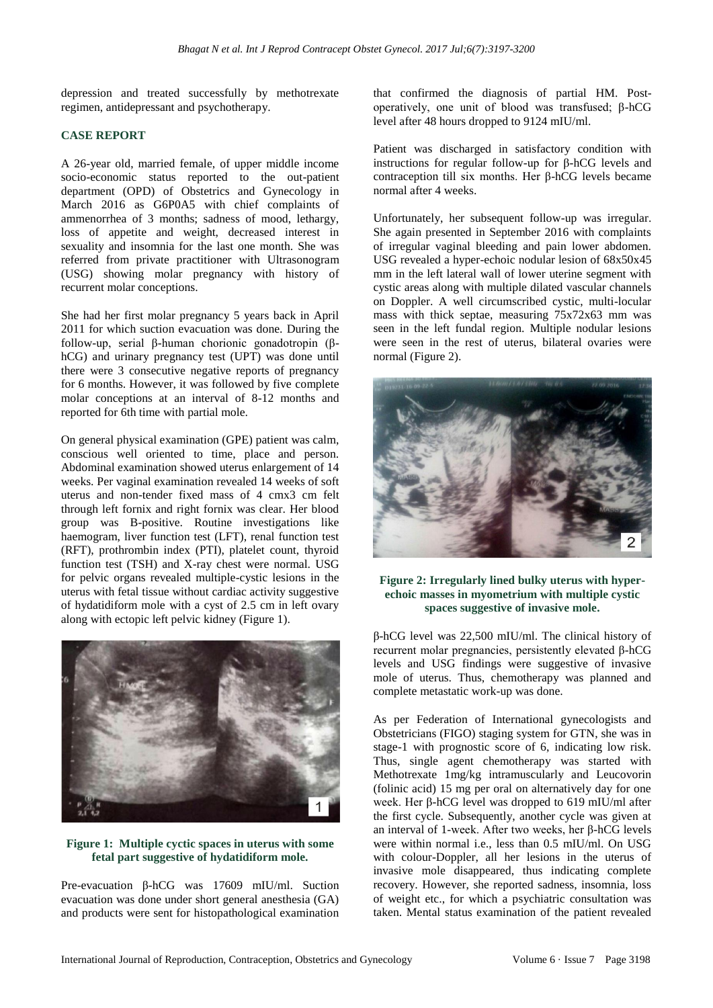depression and treated successfully by methotrexate regimen, antidepressant and psychotherapy.

#### **CASE REPORT**

A 26-year old, married female, of upper middle income socio-economic status reported to the out-patient department (OPD) of Obstetrics and Gynecology in March 2016 as G6P0A5 with chief complaints of ammenorrhea of 3 months; sadness of mood, lethargy, loss of appetite and weight, decreased interest in sexuality and insomnia for the last one month. She was referred from private practitioner with Ultrasonogram (USG) showing molar pregnancy with history of recurrent molar conceptions.

She had her first molar pregnancy 5 years back in April 2011 for which suction evacuation was done. During the follow-up, serial β-human chorionic gonadotropin (βhCG) and urinary pregnancy test (UPT) was done until there were 3 consecutive negative reports of pregnancy for 6 months. However, it was followed by five complete molar conceptions at an interval of 8-12 months and reported for 6th time with partial mole.

On general physical examination (GPE) patient was calm, conscious well oriented to time, place and person. Abdominal examination showed uterus enlargement of 14 weeks. Per vaginal examination revealed 14 weeks of soft uterus and non-tender fixed mass of 4 cmx3 cm felt through left fornix and right fornix was clear. Her blood group was B-positive. Routine investigations like haemogram, liver function test (LFT), renal function test (RFT), prothrombin index (PTI), platelet count, thyroid function test (TSH) and X-ray chest were normal. USG for pelvic organs revealed multiple-cystic lesions in the uterus with fetal tissue without cardiac activity suggestive of hydatidiform mole with a cyst of 2.5 cm in left ovary along with ectopic left pelvic kidney (Figure 1).



## **Figure 1: Multiple cyctic spaces in uterus with some fetal part suggestive of hydatidiform mole.**

Pre-evacuation β-hCG was 17609 mIU/ml. Suction evacuation was done under short general anesthesia (GA) and products were sent for histopathological examination that confirmed the diagnosis of partial HM. Postoperatively, one unit of blood was transfused; β-hCG level after 48 hours dropped to 9124 mIU/ml.

Patient was discharged in satisfactory condition with instructions for regular follow-up for β-hCG levels and contraception till six months. Her β-hCG levels became normal after 4 weeks.

Unfortunately, her subsequent follow-up was irregular. She again presented in September 2016 with complaints of irregular vaginal bleeding and pain lower abdomen. USG revealed a hyper-echoic nodular lesion of 68x50x45 mm in the left lateral wall of lower uterine segment with cystic areas along with multiple dilated vascular channels on Doppler. A well circumscribed cystic, multi-locular mass with thick septae, measuring 75x72x63 mm was seen in the left fundal region. Multiple nodular lesions were seen in the rest of uterus, bilateral ovaries were normal (Figure 2).



### **Figure 2: Irregularly lined bulky uterus with hyperechoic masses in myometrium with multiple cystic spaces suggestive of invasive mole.**

β-hCG level was 22,500 mIU/ml. The clinical history of recurrent molar pregnancies, persistently elevated β-hCG levels and USG findings were suggestive of invasive mole of uterus. Thus, chemotherapy was planned and complete metastatic work-up was done.

As per Federation of International gynecologists and Obstetricians (FIGO) staging system for GTN, she was in stage-1 with prognostic score of 6, indicating low risk. Thus, single agent chemotherapy was started with Methotrexate 1mg/kg intramuscularly and Leucovorin (folinic acid) 15 mg per oral on alternatively day for one week. Her β-hCG level was dropped to 619 mIU/ml after the first cycle. Subsequently, another cycle was given at an interval of 1-week. After two weeks, her β-hCG levels were within normal i.e., less than 0.5 mIU/ml. On USG with colour-Doppler, all her lesions in the uterus of invasive mole disappeared, thus indicating complete recovery. However, she reported sadness, insomnia, loss of weight etc., for which a psychiatric consultation was taken. Mental status examination of the patient revealed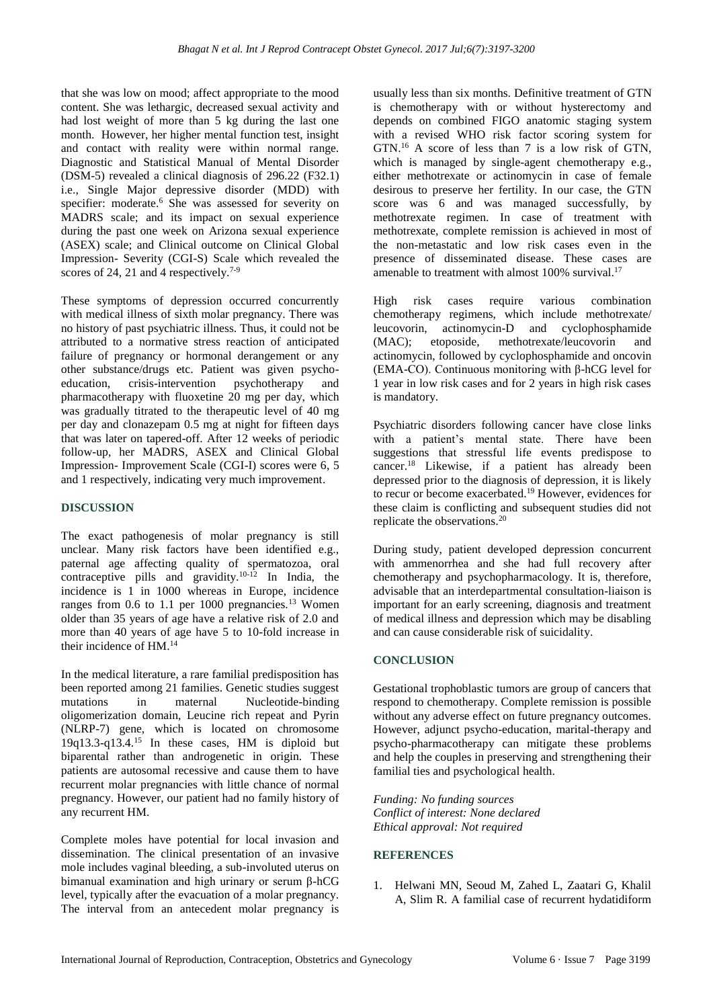that she was low on mood; affect appropriate to the mood content. She was lethargic, decreased sexual activity and had lost weight of more than 5 kg during the last one month. However, her higher mental function test, insight and contact with reality were within normal range. Diagnostic and Statistical Manual of Mental Disorder (DSM-5) revealed a clinical diagnosis of 296.22 (F32.1) i.e., Single Major depressive disorder (MDD) with specifier: moderate.<sup>6</sup> She was assessed for severity on MADRS scale; and its impact on sexual experience during the past one week on Arizona sexual experience (ASEX) scale; and Clinical outcome on Clinical Global Impression- Severity (CGI-S) Scale which revealed the scores of 24, 21 and 4 respectively.<sup>7-9</sup>

These symptoms of depression occurred concurrently with medical illness of sixth molar pregnancy. There was no history of past psychiatric illness. Thus, it could not be attributed to a normative stress reaction of anticipated failure of pregnancy or hormonal derangement or any other substance/drugs etc. Patient was given psychoeducation, crisis-intervention psychotherapy and pharmacotherapy with fluoxetine 20 mg per day, which was gradually titrated to the therapeutic level of 40 mg per day and clonazepam 0.5 mg at night for fifteen days that was later on tapered-off. After 12 weeks of periodic follow-up, her MADRS, ASEX and Clinical Global Impression- Improvement Scale (CGI-I) scores were 6, 5 and 1 respectively, indicating very much improvement.

### **DISCUSSION**

The exact pathogenesis of molar pregnancy is still unclear. Many risk factors have been identified e.g., paternal age affecting quality of spermatozoa, oral contraceptive pills and gravidity.<sup>10-12</sup> In India, the incidence is 1 in 1000 whereas in Europe, incidence ranges from 0.6 to 1.1 per 1000 pregnancies.<sup>13</sup> Women older than 35 years of age have a relative risk of 2.0 and more than 40 years of age have 5 to 10-fold increase in their incidence of HM.<sup>14</sup>

In the medical literature, a rare familial predisposition has been reported among 21 families. Genetic studies suggest mutations in maternal Nucleotide-binding oligomerization domain, Leucine rich repeat and Pyrin (NLRP-7) gene, which is located on chromosome 19q13.3-q13.4.<sup>15</sup> In these cases, HM is diploid but biparental rather than androgenetic in origin. These patients are autosomal recessive and cause them to have recurrent molar pregnancies with little chance of normal pregnancy. However, our patient had no family history of any recurrent HM.

Complete moles have potential for local invasion and dissemination. The clinical presentation of an invasive mole includes vaginal bleeding, a sub-involuted uterus on bimanual examination and high urinary or serum β-hCG level, typically after the evacuation of a molar pregnancy. The interval from an antecedent molar pregnancy is usually less than six months. Definitive treatment of GTN is chemotherapy with or without hysterectomy and depends on combined FIGO anatomic staging system with a revised WHO risk factor scoring system for GTN.<sup>16</sup> A score of less than 7 is a low risk of GTN, which is managed by single-agent chemotherapy e.g., either methotrexate or actinomycin in case of female desirous to preserve her fertility. In our case, the GTN score was 6 and was managed successfully, by methotrexate regimen. In case of treatment with methotrexate, complete remission is achieved in most of the non-metastatic and low risk cases even in the presence of disseminated disease. These cases are amenable to treatment with almost 100% survival.<sup>17</sup>

High risk cases require various combination chemotherapy regimens, which include methotrexate/ leucovorin, actinomycin-D and cyclophosphamide (MAC); etoposide, methotrexate/leucovorin and actinomycin, followed by cyclophosphamide and oncovin (EMA-CO). Continuous monitoring with β-hCG level for 1 year in low risk cases and for 2 years in high risk cases is mandatory.

Psychiatric disorders following cancer have close links with a patient's mental state. There have been suggestions that stressful life events predispose to cancer.<sup>18</sup> Likewise, if a patient has already been depressed prior to the diagnosis of depression, it is likely to recur or become exacerbated.<sup>19</sup> However, evidences for these claim is conflicting and subsequent studies did not replicate the observations.<sup>20</sup>

During study, patient developed depression concurrent with ammenorrhea and she had full recovery after chemotherapy and psychopharmacology. It is, therefore, advisable that an interdepartmental consultation-liaison is important for an early screening, diagnosis and treatment of medical illness and depression which may be disabling and can cause considerable risk of suicidality.

### **CONCLUSION**

Gestational trophoblastic tumors are group of cancers that respond to chemotherapy. Complete remission is possible without any adverse effect on future pregnancy outcomes. However, adjunct psycho-education, marital-therapy and psycho-pharmacotherapy can mitigate these problems and help the couples in preserving and strengthening their familial ties and psychological health.

*Funding: No funding sources Conflict of interest: None declared Ethical approval: Not required*

# **REFERENCES**

1. Helwani MN, Seoud M, Zahed L, Zaatari G, Khalil A, Slim R. A familial case of recurrent hydatidiform